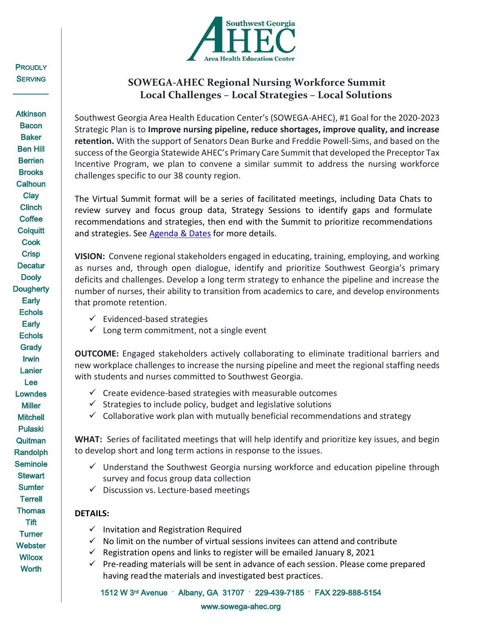

# **SOWEGA-AHEC Regional Nursing Workforce Summit Local Challenges – Local Strategies – Local Solutions**

Southwest Georgia Area Health Education Center's (SOWEGA-AHEC), #1 Goal for the 2020-2023 Strategic Plan is to **Improve nursing pipeline, reduce shortages, improve quality, and increase retention.** With the support of Senators Dean Burke and Freddie Powell-Sims, and based on the success of the Georgia Statewide AHEC's Primary Care Summit that developed the Preceptor Tax Incentive Program, we plan to convene a similar summit to address the nursing workforce challenges specific to our 38 county region.

The Virtual Summit format will be a series of facilitated meetings, including Data Chats to review survey and focus group data, Strategy Sessions to identify gaps and formulate recommendations and strategies, then end with the Summit to prioritize recommendations and strategies. See [Agenda & Dates](https://sowega-ahec.org/nursingsumitagenda/) for more details.

**VISION:** Convene regional stakeholders engaged in educating, training, employing, and working as nurses and, through open dialogue, identify and prioritize Southwest Georgia's primary deficits and challenges. Develop a long term strategy to enhance the pipeline and increase the number of nurses, their ability to transition from academics to care, and develop environments that promote retention.

- $\checkmark$  Evidenced-based strategies
- $\checkmark$  Long term commitment, not a single event

**OUTCOME:** Engaged stakeholders actively collaborating to eliminate traditional barriers and new workplace challenges to increase the nursing pipeline and meet the regional staffing needs with students and nurses committed to Southwest Georgia.

- $\checkmark$  Create evidence-based strategies with measurable outcomes
- $\checkmark$  Strategies to include policy, budget and legislative solutions
- $\checkmark$  Collaborative work plan with mutually beneficial recommendations and strategy

**WHAT:** Series of facilitated meetings that will help identify and prioritize key issues, and begin to develop short and long term actions in response to the issues.

- $\checkmark$  Understand the Southwest Georgia nursing workforce and education pipeline through survey and focus group data collection
- $\checkmark$  Discussion vs. Lecture-based meetings

# **DETAILS:**

- $\checkmark$  Invitation and Registration Required
- $\checkmark$  No limit on the number of virtual sessions invitees can attend and contribute
- $\checkmark$  Registration opens and links to register will be emailed January 8, 2021
- $\checkmark$  Pre-reading materials will be sent in advance of each session. Please come prepared having readthe materials and investigated best practices.

1512 W 3rd Avenue · Albany, GA 31707 · 229-439-7185 · FAX 229-888-5154

www.sowega-ahec.org

**Atkinson Bacon Baker** Ben Hill **Berrien Brooks Calhoun Clay Clinch Coffee Colquitt Cook Crisp Decatur Dooly Dougherty Early Echols Early Echols Grady** Irwin Lanier Lee **Lowndes Miller Mitchell** Pulaski **Quitman** Randolph Seminole **Stewart Sumter Terrell Thomas Tift Turner Webster Wilcox Worth** 

**PROUDLY SERVING** \_\_\_\_\_\_\_\_\_